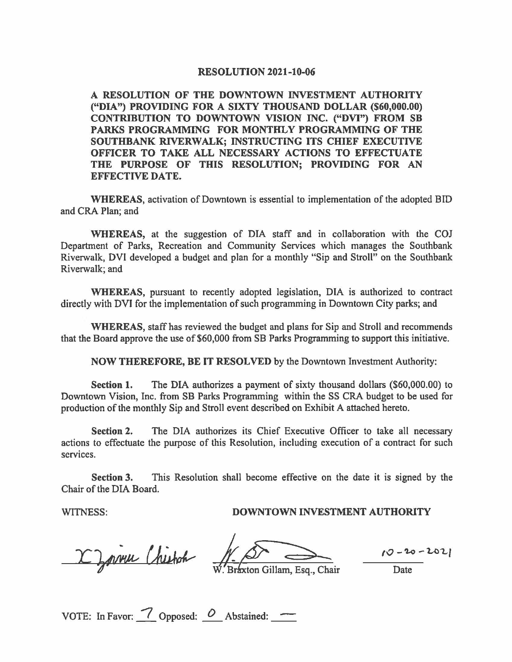#### **RESOLUTION 2021-10-06**

**A RESOLUTION OF THE DOWNTOWN INVESTMENT AUTHORITY ("DIA") PROVIDING FOR A SIXTY THOUSAND DOLLAR (\$60,000.00) CONTRIBUTION TO DOWNTOWN VISION INC. ("DVI") FROM SB PARKS PROGRAMMING FOR MONTHLY PROGRAMMING OF THE SOUTHBANK RIVERWALK; INSTRUCTING ITS CHIEF EXECUTIVE OFFICER TO TAKE ALL NECESSARY ACTIONS TO EFFECTUATE THE PURPOSE OF THIS RESOLUTION; PROVIDING FOR AN EFFECTIVE DATE.** 

**WHEREAS,** activation of Downtown is essential to implementation of the adopted BID and CRA Plan; and

**WHEREAS,** at the suggestion of DIA staff and in collaboration with the COJ Department of Parks, Recreation and Community Services which manages the Southbank Riverwalk, DVI developed a budget and plan for a monthly "Sip and Stroll" on the Southbank Riverwalk; and

**WHEREAS,** pursuant to recently adopted legislation, DIA is authorized to contract directly with DVI for the implementation of such programming in Downtown City parks; and

**WHEREAS,** staff has reviewed the budget and plans for Sip and Stroll and recommends that the Board approve the use of \$60,000 from SB Parks Programming to support this initiative.

**NOW THEREFORE, BE IT RESOLVED** by the Downtown Investment Authority:

**Section 1.** The DIA authorizes a payment of sixty thousand dollars (\$60,000.00) to Downtown Vision, Inc. from SB Parks Programming within the SS CRA budget to be used for production of the monthly Sip and Stroll event described on Exhibit A attached hereto.

**Section 2.** The DIA authorizes its Chief Executive Officer to take all necessary actions to effectuate the purpose of this Resolution, including execution of a contract for such services.

**Section 3.** This Resolution shall become effective on the date it is signed by the Chair of the DIA Board.

## WITNESS: **DOWNTOWN INVESTMENT AUTHORITY**

X Zormu Chistoch

Braxton Gillam, Esq., Chair

**10** - **'Lo** - **LO'Lf** 

Date

VOTE: In Favor:  $\frac{7}{1}$  Opposed:  $\frac{0}{1}$  Abstained:  $\frac{1}{1}$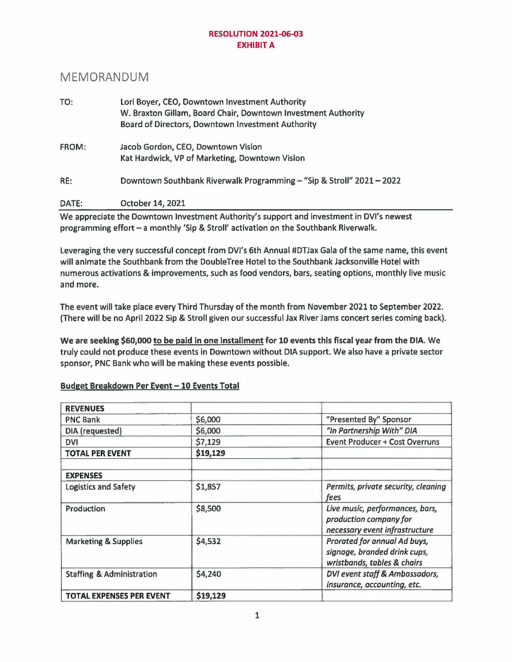### **RESOLUTION 2021-06-03 EXHIBIT A**

# MEMORANDUM

| TO:          | Lori Boyer, CEO, Downtown Investment Authority<br>W. Braxton Gillam, Board Chair, Downtown Investment Authority |  |  |  |
|--------------|-----------------------------------------------------------------------------------------------------------------|--|--|--|
|              | Board of Directors, Downtown Investment Authority                                                               |  |  |  |
| <b>FROM:</b> | Jacob Gordon, CEO, Downtown Vision                                                                              |  |  |  |
|              | Kat Hardwick, VP of Marketing, Downtown Vision                                                                  |  |  |  |
| RE:          | Downtown Southbank Riverwalk Programming - "Sip & Stroll" 2021 - 2022                                           |  |  |  |
| DATE:        | October 14, 2021                                                                                                |  |  |  |
|              | 1875. aastas aluku klaa Narraskurras laivastas askoksilla alkala arrasta kaud laivastas askoksilla MML aastask  |  |  |  |

We appreciate the Downtown Investment Authority's support and investment in DVl's newest programming effort - a monthly 'Sip & Stroll' activation on the Southbank Riverwalk.

Leveraging the very successful concept from DVl's 6th Annual #DTJax Gala of the same name, this event will animate the Southbank from the DoubleTree Hotel to the Southbank Jacksonville Hotel with numerous activations & improvements, such as food vendors, bars, seating options, monthly live music and more.

The event will take place every Third Thursday of the month from November 2021 to September 2022. (There will be no April 2022 Sip & Stroll given our successful Jax River Jams concert series coming back).

We are seeking \$60,000 to **be paid** in one Installment for 10 events this fiscal year from the DIA. We truly could not produce these events in Downtown without DIA support. We also have a private sector sponsor, PNC Bank who will be making these events possible.

| Budget Breakdown Per Event - 10 Events Total |  |  |  |
|----------------------------------------------|--|--|--|
|                                              |  |  |  |

| <b>REVENUES</b>                      |          |                                                                                             |
|--------------------------------------|----------|---------------------------------------------------------------------------------------------|
| <b>PNC Bank</b>                      | \$6,000  | "Presented By" Sponsor                                                                      |
| DIA (requested)                      | \$6,000  | "In Partnership With" DIA                                                                   |
| <b>DVI</b>                           | \$7,129  | <b>Event Producer + Cost Overruns</b>                                                       |
| <b>TOTAL PER EVENT</b>               | \$19,129 |                                                                                             |
| <b>EXPENSES</b>                      |          |                                                                                             |
| <b>Logistics and Safety</b>          | \$1,857  | Permits, private security, cleaning<br>fees                                                 |
| Production                           | \$8,500  | Live music, performances, bars,<br>production company for<br>necessary event infrastructure |
| <b>Marketing &amp; Supplies</b>      | \$4,532  | Prorated for annual Ad buys,<br>signage, branded drink cups,<br>wristbands, tables & chairs |
| <b>Staffing &amp; Administration</b> | \$4,240  | DVI event staff & Ambassadors,<br>insurance, accounting, etc.                               |
| <b>TOTAL EXPENSES PER EVENT</b>      | \$19,129 |                                                                                             |